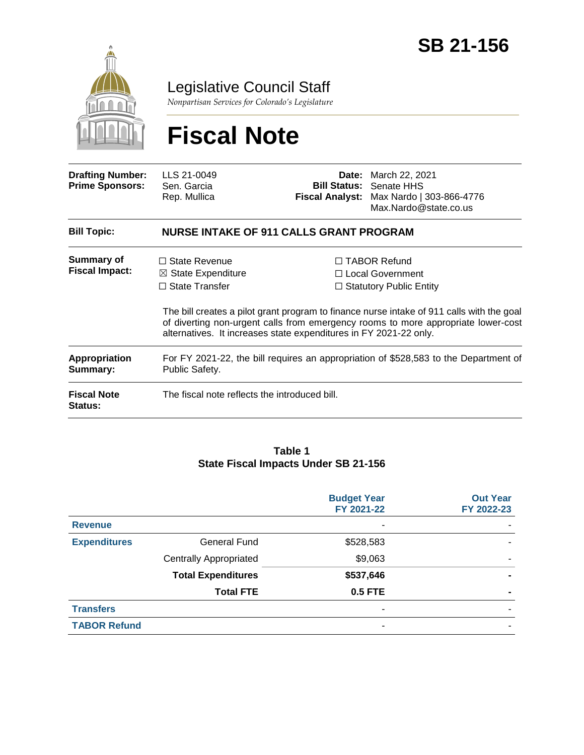

Legislative Council Staff

*Nonpartisan Services for Colorado's Legislature*

# **Fiscal Note**

| <b>Drafting Number:</b><br><b>Prime Sponsors:</b> | LLS 21-0049<br>Sen. Garcia<br>Rep. Mullica                                                                                                          |  | <b>Date:</b> March 22, 2021<br><b>Bill Status: Senate HHS</b><br>Fiscal Analyst: Max Nardo   303-866-4776<br>Max.Nardo@state.co.us                                                                                                                            |  |  |
|---------------------------------------------------|-----------------------------------------------------------------------------------------------------------------------------------------------------|--|---------------------------------------------------------------------------------------------------------------------------------------------------------------------------------------------------------------------------------------------------------------|--|--|
| <b>Bill Topic:</b>                                | <b>NURSE INTAKE OF 911 CALLS GRANT PROGRAM</b>                                                                                                      |  |                                                                                                                                                                                                                                                               |  |  |
| Summary of<br><b>Fiscal Impact:</b>               | $\Box$ State Revenue<br>$\boxtimes$ State Expenditure<br>$\Box$ State Transfer<br>alternatives. It increases state expenditures in FY 2021-22 only. |  | $\Box$ TABOR Refund<br>□ Local Government<br>$\Box$ Statutory Public Entity<br>The bill creates a pilot grant program to finance nurse intake of 911 calls with the goal<br>of diverting non-urgent calls from emergency rooms to more appropriate lower-cost |  |  |
| <b>Appropriation</b><br>Summary:                  | For FY 2021-22, the bill requires an appropriation of \$528,583 to the Department of<br>Public Safety.                                              |  |                                                                                                                                                                                                                                                               |  |  |
| <b>Fiscal Note</b><br><b>Status:</b>              | The fiscal note reflects the introduced bill.                                                                                                       |  |                                                                                                                                                                                                                                                               |  |  |

#### **Table 1 State Fiscal Impacts Under SB 21-156**

|                     |                               | <b>Budget Year</b><br>FY 2021-22 | <b>Out Year</b><br>FY 2022-23 |
|---------------------|-------------------------------|----------------------------------|-------------------------------|
| <b>Revenue</b>      |                               |                                  |                               |
| <b>Expenditures</b> | <b>General Fund</b>           | \$528,583                        |                               |
|                     | <b>Centrally Appropriated</b> | \$9,063                          |                               |
|                     | <b>Total Expenditures</b>     | \$537,646                        |                               |
|                     | <b>Total FTE</b>              | <b>0.5 FTE</b>                   |                               |
| <b>Transfers</b>    |                               | $\overline{\phantom{0}}$         |                               |
| <b>TABOR Refund</b> |                               | $\overline{\phantom{a}}$         |                               |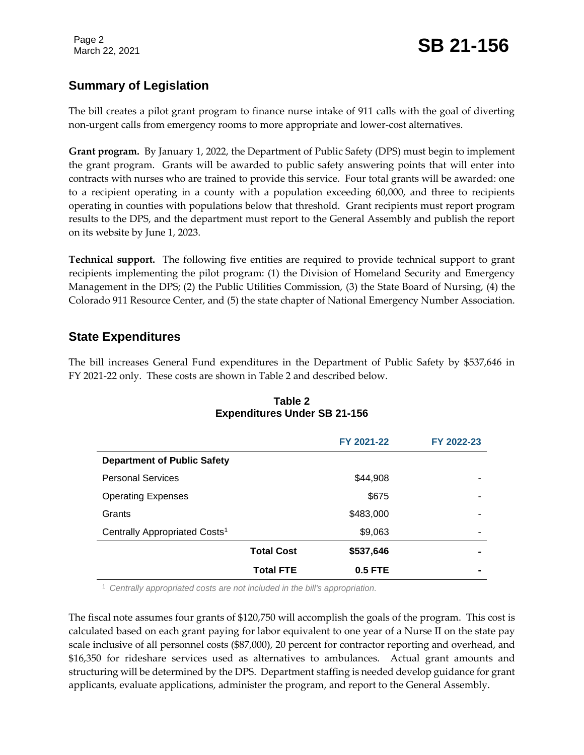## **Summary of Legislation**

The bill creates a pilot grant program to finance nurse intake of 911 calls with the goal of diverting non-urgent calls from emergency rooms to more appropriate and lower-cost alternatives.

**Grant program.** By January 1, 2022, the Department of Public Safety (DPS) must begin to implement the grant program. Grants will be awarded to public safety answering points that will enter into contracts with nurses who are trained to provide this service. Four total grants will be awarded: one to a recipient operating in a county with a population exceeding 60,000, and three to recipients operating in counties with populations below that threshold. Grant recipients must report program results to the DPS, and the department must report to the General Assembly and publish the report on its website by June 1, 2023.

**Technical support.** The following five entities are required to provide technical support to grant recipients implementing the pilot program: (1) the Division of Homeland Security and Emergency Management in the DPS; (2) the Public Utilities Commission, (3) the State Board of Nursing, (4) the Colorado 911 Resource Center, and (5) the state chapter of National Emergency Number Association.

#### **State Expenditures**

The bill increases General Fund expenditures in the Department of Public Safety by \$537,646 in FY 2021-22 only. These costs are shown in Table 2 and described below.

|                                           |                   | FY 2021-22 | FY 2022-23 |
|-------------------------------------------|-------------------|------------|------------|
| <b>Department of Public Safety</b>        |                   |            |            |
| <b>Personal Services</b>                  |                   | \$44,908   |            |
| <b>Operating Expenses</b>                 |                   | \$675      |            |
| Grants                                    |                   | \$483,000  |            |
| Centrally Appropriated Costs <sup>1</sup> |                   | \$9,063    | -          |
|                                           | <b>Total Cost</b> | \$537,646  |            |
|                                           | <b>Total FTE</b>  | $0.5$ FTE  |            |

#### **Table 2 Expenditures Under SB 21-156**

<sup>1</sup> *Centrally appropriated costs are not included in the bill's appropriation.*

The fiscal note assumes four grants of \$120,750 will accomplish the goals of the program. This cost is calculated based on each grant paying for labor equivalent to one year of a Nurse II on the state pay scale inclusive of all personnel costs (\$87,000), 20 percent for contractor reporting and overhead, and \$16,350 for rideshare services used as alternatives to ambulances. Actual grant amounts and structuring will be determined by the DPS. Department staffing is needed develop guidance for grant applicants, evaluate applications, administer the program, and report to the General Assembly.